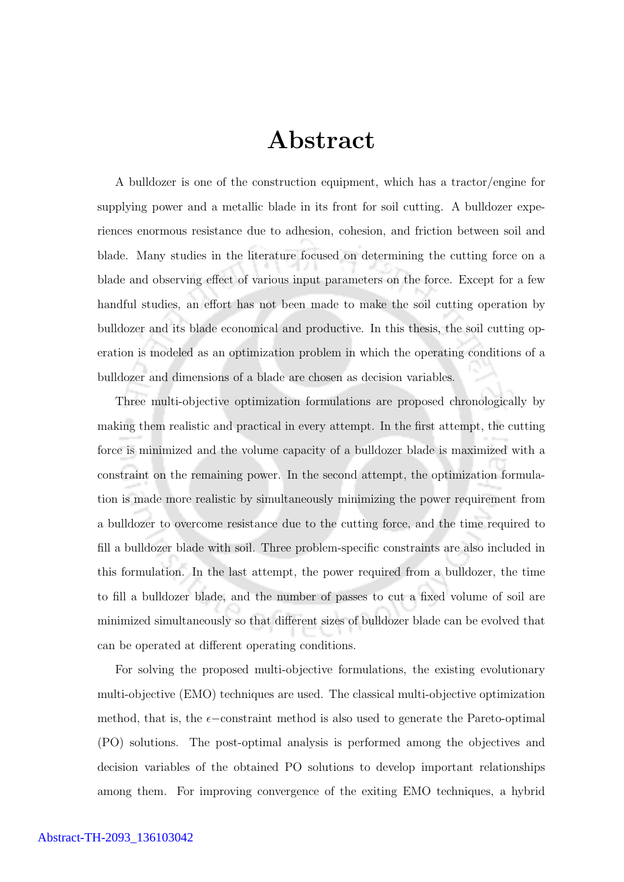## Abstract

A bulldozer is one of the construction equipment, which has a tractor/engine for supplying power and a metallic blade in its front for soil cutting. A bulldozer experiences enormous resistance due to adhesion, cohesion, and friction between soil and blade. Many studies in the literature focused on determining the cutting force on a blade and observing effect of various input parameters on the force. Except for a few handful studies, an effort has not been made to make the soil cutting operation by bulldozer and its blade economical and productive. In this thesis, the soil cutting operation is modeled as an optimization problem in which the operating conditions of a bulldozer and dimensions of a blade are chosen as decision variables.

Three multi-objective optimization formulations are proposed chronologically by making them realistic and practical in every attempt. In the first attempt, the cutting force is minimized and the volume capacity of a bulldozer blade is maximized with a constraint on the remaining power. In the second attempt, the optimization formulation is made more realistic by simultaneously minimizing the power requirement from a bulldozer to overcome resistance due to the cutting force, and the time required to fill a bulldozer blade with soil. Three problem-specific constraints are also included in this formulation. In the last attempt, the power required from a bulldozer, the time to fill a bulldozer blade, and the number of passes to cut a fixed volume of soil are minimized simultaneously so that different sizes of bulldozer blade can be evolved that can be operated at different operating conditions.

For solving the proposed multi-objective formulations, the existing evolutionary multi-objective (EMO) techniques are used. The classical multi-objective optimization method, that is, the  $\epsilon$ −constraint method is also used to generate the Pareto-optimal (PO) solutions. The post-optimal analysis is performed among the objectives and decision variables of the obtained PO solutions to develop important relationships among them. For improving convergence of the exiting EMO techniques, a hybrid